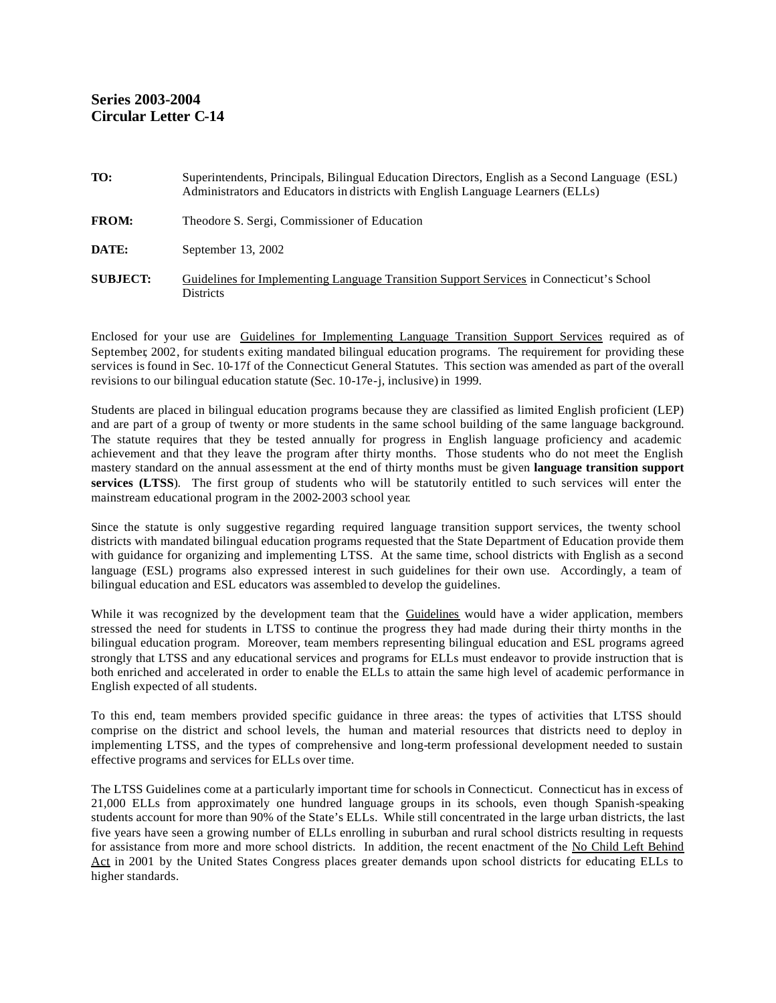| TO:             | Superintendents, Principals, Bilingual Education Directors, English as a Second Language (ESL)<br>Administrators and Educators in districts with English Language Learners (ELLs) |
|-----------------|-----------------------------------------------------------------------------------------------------------------------------------------------------------------------------------|
| <b>FROM:</b>    | Theodore S. Sergi, Commissioner of Education                                                                                                                                      |
| DATE:           | September 13, 2002                                                                                                                                                                |
| <b>SUBJECT:</b> | Guidelines for Implementing Language Transition Support Services in Connecticut's School<br><b>Districts</b>                                                                      |

Enclosed for your use are Guidelines for Implementing Language Transition Support Services required as of September, 2002, for students exiting mandated bilingual education programs. The requirement for providing these services is found in Sec. 10-17f of the Connecticut General Statutes. This section was amended as part of the overall revisions to our bilingual education statute (Sec. 10-17e-j, inclusive) in 1999.

Students are placed in bilingual education programs because they are classified as limited English proficient (LEP) and are part of a group of twenty or more students in the same school building of the same language background. The statute requires that they be tested annually for progress in English language proficiency and academic achievement and that they leave the program after thirty months. Those students who do not meet the English mastery standard on the annual assessment at the end of thirty months must be given **language transition support services (LTSS**). The first group of students who will be statutorily entitled to such services will enter the mainstream educational program in the 2002-2003 school year.

Since the statute is only suggestive regarding required language transition support services, the twenty school districts with mandated bilingual education programs requested that the State Department of Education provide them with guidance for organizing and implementing LTSS. At the same time, school districts with English as a second language (ESL) programs also expressed interest in such guidelines for their own use. Accordingly, a team of bilingual education and ESL educators was assembled to develop the guidelines.

While it was recognized by the development team that the Guidelines would have a wider application, members stressed the need for students in LTSS to continue the progress they had made during their thirty months in the bilingual education program. Moreover, team members representing bilingual education and ESL programs agreed strongly that LTSS and any educational services and programs for ELLs must endeavor to provide instruction that is both enriched and accelerated in order to enable the ELLs to attain the same high level of academic performance in English expected of all students.

To this end, team members provided specific guidance in three areas: the types of activities that LTSS should comprise on the district and school levels, the human and material resources that districts need to deploy in implementing LTSS, and the types of comprehensive and long-term professional development needed to sustain effective programs and services for ELLs over time.

The LTSS Guidelines come at a particularly important time for schools in Connecticut. Connecticut has in excess of 21,000 ELLs from approximately one hundred language groups in its schools, even though Spanish-speaking students account for more than 90% of the State's ELLs. While still concentrated in the large urban districts, the last five years have seen a growing number of ELLs enrolling in suburban and rural school districts resulting in requests for assistance from more and more school districts. In addition, the recent enactment of the No Child Left Behind Act in 2001 by the United States Congress places greater demands upon school districts for educating ELLs to higher standards.